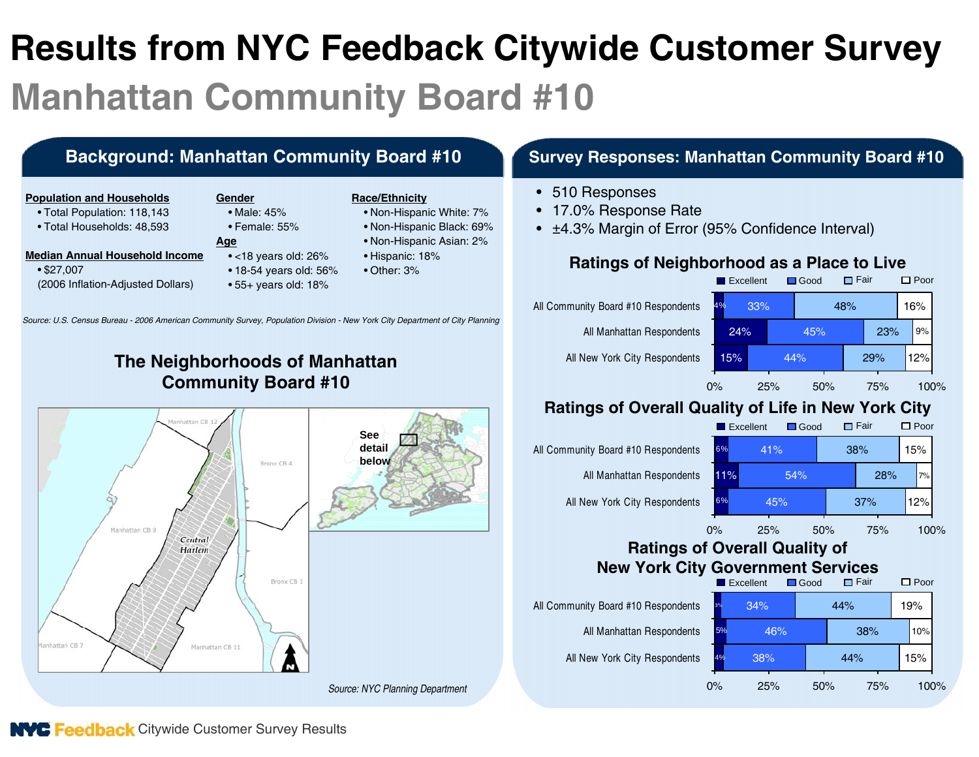# **Results from NYC Feedback Citywide Customer Survey Manhattan Community Board #10**

# **Background: Manhattan Community Board #10 Survey Responses: Manhattan Community Board #10**

#### **Population and Households**

- Total Population: 118,143
- Total Households: 48,593

- **Median Annual Household Income**
	- \$27,007 (2006 Inflation-Adjusted Dollars)
- **Gender**• Male: 45%
	- Female: 55%
- **Age**
	- <18 years old: 26%
	- 18-54 years old: 56%
	- 55+ years old: 18%

#### **Race/Ethnicity**

- Non-Hispanic White: 7%
- Non-Hispanic Black: 69%
- Non-Hispanic Asian: 2%
- Hispanic: 18%
- Other: 3%

- 510 Responses
- 17.0% Response Rate
- <sup>±</sup>4.3% Margin of Error (95% Confidence Interval)

### **Ratings of Neighborhood as a Place to Live**



#### **Ratings of Overall Quality of Life in New York City Excellent**

Good

**□ Fair** □ Poor



### **Ratings of Overall Quality of New York City Government Services**



# **The Neighborhoods of Manhattan Community Board #10**

*Source: U.S. Census Bureau - 2006 American Community Survey, Population Division - New York City Department of City Planning*



**NVC Feedback** Citywide Customer Survey Results